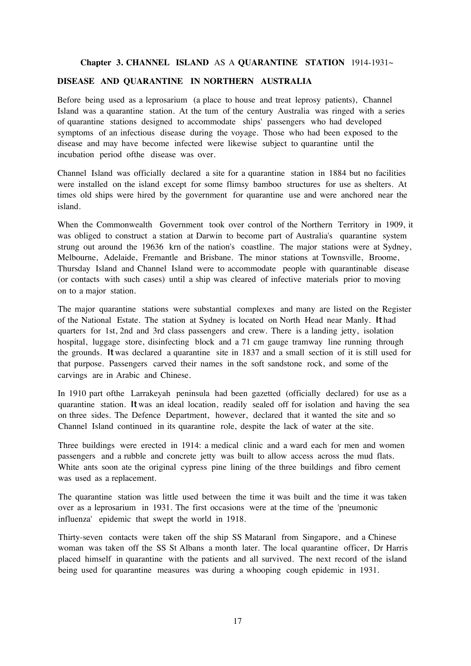#### **Chapter 3. CHANNEL ISLAND** AS A **QUARANTINE STATION** 1914-1931~

# **DISEASE AND QUARANTINE IN NORTHERN AUSTRALIA**

Before being used as a leprosarium (a place to house and treat leprosy patients), Channel Island was a quarantine station. At the tum of the century Australia was ringed with a series of quarantine stations designed to accommodate ships' passengers who had developed symptoms of an infectious disease during the voyage. Those who had been exposed to the disease and may have become infected were likewise subject to quarantine until the incubation period ofthe disease was over.

Channel Island was officially declared a site for a quarantine station in 1884 but no facilities were installed on the island except for some flimsy bamboo structures for use as shelters. At times old ships were hired by the government for quarantine use and were anchored near the island.

When the Commonwealth Government took over control of the Northern Territory in 1909, it was obliged to construct a station at Darwin to become part of Australia's quarantine system strung out around the 19636 krn of the nation's coastline. The major stations were at Sydney, Melbourne, Adelaide, Fremantle and Brisbane. The minor stations at Townsville, Broome, Thursday Island and Channel Island were to accommodate people with quarantinable disease (or contacts with such cases) until a ship was cleared of infective materials prior to moving on to a major station.

The major quarantine stations were substantial complexes and many are listed on the Register of the National Estate. The station at Sydney is located on North Head near Manly. It had quarters for 1st, 2nd and 3rd class passengers and crew. There is a landing jetty, isolation hospital, luggage store, disinfecting block and a 71 cm gauge tramway line running through the grounds. Itwas declared a quarantine site in 1837 and a small section of it is still used for that purpose. Passengers carved their names in the soft sandstone rock, and some of the carvings are in Arabic and Chinese.

In 1910 part ofthe Larrakeyah peninsula had been gazetted (officially declared) for use as a quarantine station. Itwas an ideal location, readily sealed off for isolation and having the sea on three sides. The Defence Department, however, declared that it wanted the site and so Channel Island continued in its quarantine role, despite the lack of water at the site.

Three buildings were erected in 1914: a medical clinic and a ward each for men and women passengers and a rubble and concrete jetty was built to allow access across the mud flats. White ants soon ate the original cypress pine lining of the three buildings and fibro cement was used as a replacement.

The quarantine station was little used between the time it was built and the time it was taken over as a leprosarium in 1931. The first occasions were at the time of the 'pneumonic influenza' epidemic that swept the world in 1918.

Thirty-seven contacts were taken off the ship SS Mataranl from Singapore, and a Chinese woman was taken off the SS St Albans a month later. The local quarantine officer, Dr Harris placed himself in quarantine with the patients and all survived. The next record of the island being used for quarantine measures was during a whooping cough epidemic in 1931.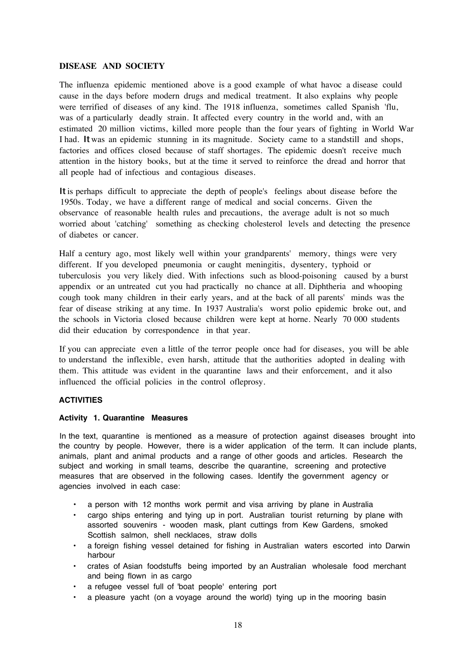# **DISEASE AND SOCIETY**

The influenza epidemic mentioned above is a good example of what havoc a disease could cause in the days before modern drugs and medical treatment. It also explains why people were terrified of diseases of any kind. The 1918 influenza, sometimes called Spanish 'flu, was of a particularly deadly strain. It affected every country in the world and, with an estimated 20 million victims, killed more people than the four years of fighting in World War I had. Itwas an epidemic stunning in its magnitude. Society came to a standstill and shops, factories and offices closed because of staff shortages. The epidemic doesn't receive much attention in the history books, but at the time it served to reinforce the dread and horror that all people had of infectious and contagious diseases.

Itis perhaps difficult to appreciate the depth of people's feelings about disease before the 1950s. Today, we have a different range of medical and social concerns. Given the observance of reasonable health rules and precautions, the average adult is not so much worried about 'catching' something as checking cholesterol levels and detecting the presence of diabetes or cancer.

Half a century ago, most likely well within your grandparents' memory, things were very different. If you developed pneumonia or caught meningitis, dysentery, typhoid or tuberculosis you very likely died. With infections such as blood-poisoning caused by a burst appendix or an untreated cut you had practically no chance at all. Diphtheria and whooping cough took many children in their early years, and at the back of all parents' minds was the fear of disease striking at any time. In 1937 Australia's worst polio epidemic broke out, and the schools in Victoria closed because children were kept at horne. Nearly 70 000 students did their education by correspondence in that year.

If you can appreciate even a little of the terror people once had for diseases, you will be able to understand the inflexible, even harsh, attitude that the authorities adopted in dealing with them. This attitude was evident in the quarantine laws and their enforcement, and it also influenced the official policies in the control ofleprosy.

# **ACTIVITIES**

#### **Activity 1. Quarantine Measures**

In the text, quarantine is mentioned as a measure of protection against diseases brought into the country by people. However, there is a wider application of the term. It can include plants, animals, plant and animal products and a range of other goods and articles. Research the subiect and working in small teams, describe the quarantine, screening and protective measures that are observed in the following cases. Identify the government agency or agencies involved in each case:

- a person with 12 months work permit and visa arriving by plane in Australia
- cargo ships entering and tying up in port. Australian tourist returning by plane with assorted souvenirs - wooden mask, plant cuttings from Kew Gardens, smoked Scottish salmon, shell necklaces, straw dolls
- a foreign fishing vessel detained for fishing in Australian waters escorted into Darwin harbour
- crates of Asian foodstuffs being imported by an Australian wholesale food merchant and being flown in as cargo
- a refugee vessel full of 'boat people' entering port
- a pleasure yacht (on a voyage around the world) tying up in the mooring basin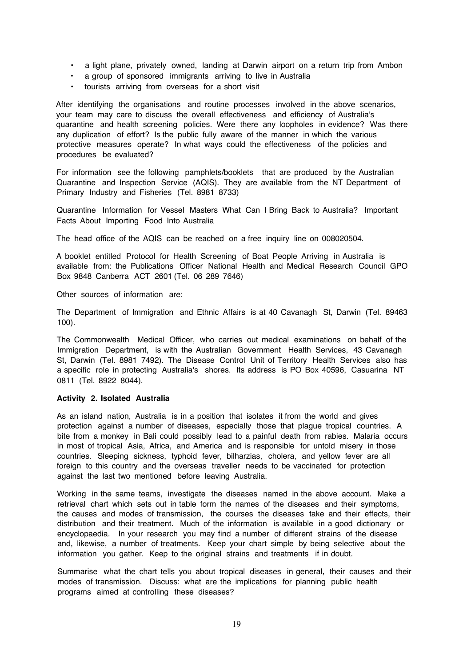- a light plane, privately owned, landing at Darwin airport on a return trip from Ambon
- a group of sponsored immigrants arriving to live in Australia
- tourists arriving from overseas for a short visit

After identifying the organisations and routine processes involved in the above scenarios, your team may care to discuss the overall effectiveness and efficiency of Australia's quarantine and health screening policies. Were there any loopholes in evidence? Was there any duplication of effort? Is the public fully aware of the manner in which the various protective measures operate? In what ways could the effectiveness of the policies and procedures be evaluated?

For information see the following pamphlets/booklets that are produced by the Australian Quarantine and Inspection Service (AQIS). They are available from the NT Department of Primary Industry and Fisheries (Tel. 8981 8733)

Quarantine Information for Vessel Masters What Can I Bring Back to Australia? Important Facts About Importing Food Into Australia

The head office of the AQIS can be reached on a free inquiry line on 008020504.

A booklet entitled Protocol for Health Screening of Boat People Arriving in Australia is available from: the Publications Officer National Health and Medical Research Council GPO Box 9848 Canberra ACT 2601 (Tel. 06 289 7646)

Other sources of information are:

The Department of Immigration and Ethnic Affairs is at 40 Cavanagh St, Darwin (Tel. 89463 100).

The Commonwealth Medical Officer, who carries out medical examinations on behalf of the Immigration Department, is with the Australian Government Health Services, 43 Cavanagh St, Darwin (Tel. 8981 7492). The Disease Control Unit of Territory Health Services also has a specific role in protecting Australia's shores. Its address is PO Box 40596, Casuarina NT 0811 (Tel. 8922 8044).

### **Activity 2. Isolated Australia**

As an island nation, Australia is in a position that isolates it from the world and gives protection against a number of diseases, especially those that plague tropical countries. A bite from a monkey in Bali could possibly lead to a painful death from rabies. Malaria occurs in most of tropical Asia, Africa, and America and is responsible for untold misery in those countries. Sleeping sickness, typhoid fever, bilharzias, cholera, and yellow fever are all foreign to this country and the overseas traveller needs to be vaccinated for protection against the last two mentioned before leaving Australia.

Working in the same teams, investigate the diseases named in the above account. Make a retrieval chart which sets out in table form the names of the diseases and their symptoms, the causes and modes of transmission, the courses the diseases take and their effects, their distribution and their treatment. Much of the information is available in a good dictionary or encyclopaedia. In your research you may find a number of different strains of the disease and, likewise, a number of treatments. Keep your chart simple by being selective about the information you gather. Keep to the original strains and treatments if in doubt.

Summarise what the chart tells you about tropical diseases in general, their causes and their modes of transmission. Discuss: what are the implications for planning public health programs aimed at controlling these diseases?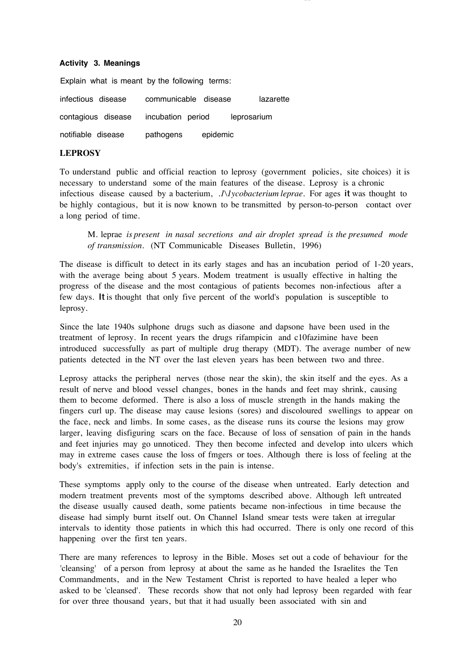#### **Activity 3. Meanings**

Explain what is meant by the following terms: infectious disease communicable disease lazarette contagious disease incubation period leprosarium notifiable disease pathogens epidemic

~-------------------------------------------------- -\_.\_-------------------------

## **LEPROSY**

To understand public and official reaction to leprosy (government policies, site choices) it is necessary to understand some of the main features of the disease. Leprosy is a chronic infectious disease caused by a bacterium, *.1\1ycobacterium leprae.* For ages it was thought to be highly contagious, but it is now known to be transmitted by person-to-person contact over a long period of time.

M. leprae *is present in nasal secretions and air droplet spread is the presumed mode of transmission.* (NT Communicable Diseases Bulletin, 1996)

The disease is difficult to detect in its early stages and has an incubation period of 1-20 years, with the average being about 5 years. Modem treatment is usually effective in halting the progress of the disease and the most contagious of patients becomes non-infectious after a few days. It is thought that only five percent of the world's population is susceptible to leprosy.

Since the late 1940s sulphone drugs such as diasone and dapsone have been used in the treatment of leprosy. In recent years the drugs rifampicin and c10fazimine have been introduced successfully as part of multiple drug therapy (MDT). The average number of new patients detected in the NT over the last eleven years has been between two and three.

Leprosy attacks the peripheral nerves (those near the skin), the skin itself and the eyes. As a result of nerve and blood vessel changes, bones in the hands and feet may shrink, causing them to become deformed. There is also a loss of muscle strength in the hands making the fingers curl up. The disease may cause lesions (sores) and discoloured swellings to appear on the face, neck and limbs. In some cases, as the disease runs its course the lesions may grow larger, leaving disfiguring scars on the face. Because of loss of sensation of pain in the hands and feet injuries may go unnoticed. They then become infected and develop into ulcers which may in extreme cases cause the loss of fmgers or toes. Although there is loss of feeling at the body's extremities, if infection sets in the pain is intense.

These symptoms apply only to the course of the disease when untreated. Early detection and modern treatment prevents most of the symptoms described above. Although left untreated the disease usually caused death, some patients became non-infectious in time because the disease had simply burnt itself out. On Channel Island smear tests were taken at irregular intervals to identity those patients in which this had occurred. There is only one record of this happening over the first ten years.

There are many references to leprosy in the Bible. Moses set out a code of behaviour for the 'cleansing' of a person from leprosy at about the same as he handed the Israelites the Ten Commandments, and in the New Testament Christ is reported to have healed a leper who asked to be 'cleansed'. These records show that not only had leprosy been regarded with fear for over three thousand years, but that it had usually been associated with sin and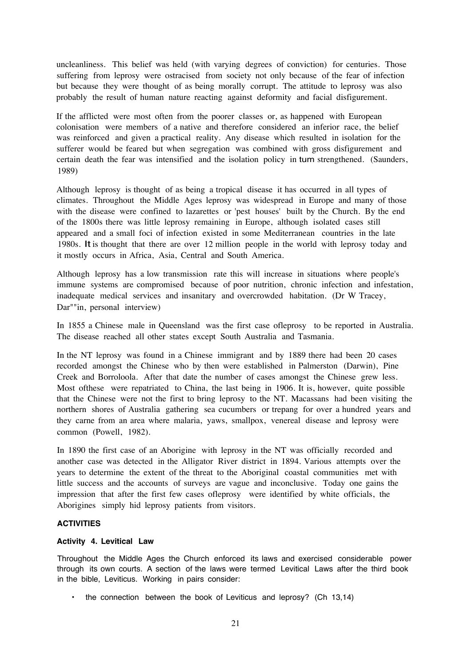uncleanliness. This belief was held (with varying degrees of conviction) for centuries. Those suffering from leprosy were ostracised from society not only because of the fear of infection but because they were thought of as being morally corrupt. The attitude to leprosy was also probably the result of human nature reacting against deformity and facial disfigurement.

If the afflicted were most often from the poorer classes or, as happened with European colonisation were members of a native and therefore considered an inferior race, the belief was reinforced and given a practical reality. Any disease which resulted in isolation for the sufferer would be feared but when segregation was combined with gross disfigurement and certain death the fear was intensified and the isolation policy in tum strengthened. (Saunders, 1989)

Although leprosy is thought of as being a tropical disease it has occurred in all types of climates. Throughout the Middle Ages leprosy was widespread in Europe and many of those with the disease were confined to lazarettes or 'pest houses' built by the Church. By the end of the 1800s there was little leprosy remaining in Europe, although isolated cases still appeared and a small foci of infection existed in some Mediterranean countries in the late 1980s. It is thought that there are over 12 million people in the world with leprosy today and it mostly occurs in Africa, Asia, Central and South America.

Although leprosy has a low transmission rate this will increase in situations where people's immune systems are compromised because of poor nutrition, chronic infection and infestation, inadequate medical services and insanitary and overcrowded habitation. (Dr W Tracey, Dar""in, personal interview)

In 1855 a Chinese male in Queensland was the first case ofleprosy to be reported in Australia. The disease reached all other states except South Australia and Tasmania.

In the NT leprosy was found in a Chinese immigrant and by 1889 there had been 20 cases recorded amongst the Chinese who by then were established in Palmerston (Darwin), Pine Creek and Borroloola. After that date the number of cases amongst the Chinese grew less. Most ofthese were repatriated to China, the last being in 1906. It is, however, quite possible that the Chinese were not the first to bring leprosy to the NT. Macassans had been visiting the northern shores of Australia gathering sea cucumbers or trepang for over a hundred years and they carne from an area where malaria, yaws, smallpox, venereal disease and leprosy were common (Powell, 1982).

In 1890 the first case of an Aborigine with leprosy in the NT was officially recorded and another case was detected in the Alligator River district in 1894. Various attempts over the years to determine the extent of the threat to the Aboriginal coastal communities met with little success and the accounts of surveys are vague and inconclusive. Today one gains the impression that after the first few cases ofleprosy were identified by white officials, the Aborigines simply hid leprosy patients from visitors.

#### **ACTIVITIES**

#### **Activity 4. Levitical Law**

Throughout the Middle Ages the Church enforced its laws and exercised considerable power through its own courts. A section of the laws were termed Levitical Laws after the third book in the bible, Leviticus. Working in pairs consider:

• the connection between the book of Leviticus and leprosy? (Ch 13,14)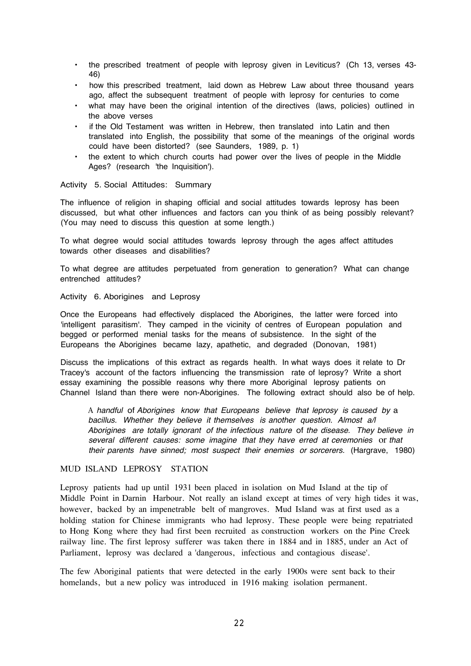- the prescribed treatment of people with leprosy given in Leviticus? (Ch 13, verses 43- 46)
- how this prescribed treatment, laid down as Hebrew Law about three thousand years ago, affect the subsequent treatment of people with leprosy for centuries to come
- what may have been the original intention of the directives (laws, policies) outlined in the above verses
- if the Old Testament was written in Hebrew, then translated into Latin and then translated into English, the possibility that some of the meanings of the original words could have been distorted? (see Saunders, 1989, p. 1)
- the extent to which church courts had power over the lives of people in the Middle Ages? (research 'the Inquisition').

Activity 5. Social Attitudes: Summary

The influence of religion in shaping official and social attitudes towards leprosy has been discussed, but what other influences and factors can you think of as being possibly relevant? (You may need to discuss this question at some length.)

To what degree would social attitudes towards leprosy through the ages affect attitudes towards other diseases and disabilities?

To what degree are attitudes perpetuated from generation to generation? What can change entrenched attitudes?

### Activity 6. Aborigines and Leprosy

Once the Europeans had effectively displaced the Aborigines, the latter were forced into 'intelligent parasitism'. They camped in the vicinity of centres of European population and begged or performed menial tasks for the means of subsistence. In the sight of the Europeans the Aborigines became lazy, apathetic, and degraded (Donovan, 1981)

Discuss the implications of this extract as regards health. In what ways does it relate to Dr Tracey's account of the factors influencing the transmission rate of leprosy? Write a short essay examining the possible reasons why there more Aboriginal leprosy patients on Channel Island than there were non-Aborigines. The following extract should also be of help.

A *handful* of *Aborigines know that Europeans believe that leprosy is caused by* a *bacillus. Whether they believe it themselves is another question. Almost a/l Aborigines are totally ignorant of the infectious nature* of *the disease. They believe in several different causes: some imagine that they have erred at ceremonies* or *that their parents have sinned; most suspect their enemies or sorcerers.* (Hargrave, 1980)

### MUD ISLAND LEPROSY STATION

Leprosy patients had up until 1931 been placed in isolation on Mud Island at the tip of Middle Point in Darnin Harbour. Not really an island except at times of very high tides it was, however, backed by an impenetrable belt of mangroves. Mud Island was at first used as a holding station for Chinese immigrants who had leprosy. These people were being repatriated to Hong Kong where they had first been recruited as construction workers on the Pine Creek railway line. The first leprosy sufferer was taken there in 1884 and in 1885, under an Act of Parliament, leprosy was declared a 'dangerous, infectious and contagious disease'.

The few Aboriginal patients that were detected in the early 1900s were sent back to their homelands, but a new policy was introduced in 1916 making isolation permanent.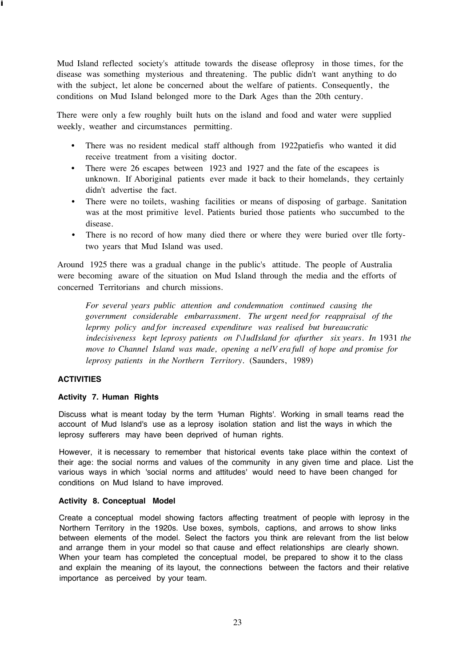Mud Island reflected society's attitude towards the disease ofleprosy in those times, for the disease was something mysterious and threatening. The public didn't want anything to do with the subject, let alone be concerned about the welfare of patients. Consequently, the conditions on Mud Island belonged more to the Dark Ages than the 20th century.

There were only a few roughly built huts on the island and food and water were supplied weekly, weather and circumstances permitting.

- There was no resident medical staff although from 1922patiefis who wanted it did receive treatment from a visiting doctor.
- There were 26 escapes between 1923 and 1927 and the fate of the escapees is unknown. If Aboriginal patients ever made it back to their homelands, they certainly didn't advertise the fact.
- There were no toilets, washing facilities or means of disposing of garbage. Sanitation was at the most primitive level. Patients buried those patients who succumbed to the disease.
- There is no record of how many died there or where they were buried over tlle fortytwo years that Mud Island was used.

Around 1925 there was a gradual change in the public's attitude. The people of Australia were becoming aware of the situation on Mud Island through the media and the efforts of concerned Territorians and church missions.

*For several years public attention and condemnation continued causing the government considerable embarrassment. The urgent need for reappraisal of the leprmy policy and for increased expenditure was realised but bureaucratic indecisiveness kept leprosy patients on 1\1udIsland for afurther six years. In* 1931 *the move to Channel Island was made, opening a nelV era full of hope and promise for leprosy patients in the Northern Territory.* (Saunders, 1989)

# **ACTIVITIES**

i

#### **Activity 7. Human Rights**

Discuss what is meant today by the term 'Human Rights'. Working in small teams read the account of Mud Island's use as a leprosy isolation station and list the ways in which the leprosy sufferers may have been deprived of human rights.

However, it is necessary to remember that historical events take place within the context of their age: the social norms and values of the community in any given time and place. List the various ways in which 'social norms and attitudes' would need to have been changed for conditions on Mud Island to have improved.

#### **Activity 8. Conceptual Model**

Create a conceptual model showing factors affecting treatment of people with leprosy in the Northern Territory in the 1920s. Use boxes, symbols, captions, and arrows to show links between elements of the model. Select the factors you think are relevant from the list below and arrange them in your model so that cause and effect relationships are clearly shown. When your team has completed the conceptual model, be prepared to show it to the class and explain the meaning of its layout, the connections between the factors and their relative importance as perceived by your team.